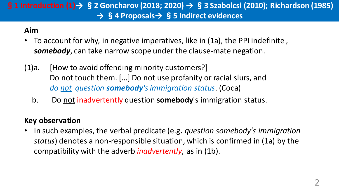## §**1 Introduction (1)→** §**2 Goncharov (2018; 2020) →** §**3 Szabolcsi (2010); Richardson (1985) →** §**4 Proposals→** §**5 Indirect evidences**

#### **Aim**

- To account for why, in negative imperatives, like in (1a), the PPI indefinite, *somebody*, can take narrow scope under the clause-mate negation.
- (1)a. [How to avoid offending minority customers?] Do not touch them. […] Do not use profanity or racial slurs, and *do not question somebody's immigration status*. (Coca)
	- b. Do not inadvertently question **somebody**'s immigration status.

### **Key observation**

• In such examples, the verbal predicate (e.g. *question somebody's immigration status*) denotes a non-responsible situation, which is confirmed in (1a) by the compatibility with the adverb *inadvertently*, as in (1b).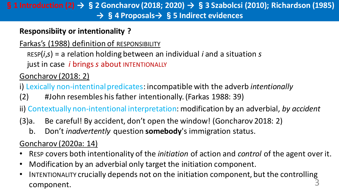### §**1 Introduction (2) →** §**2 Goncharov (2018; 2020) →** §**3 Szabolcsi (2010); Richardson (1985) →** §**4 Proposals→** §**5 Indirect evidences**

## **Responsibiity or intentionality ?**

Farkas's (1988) definition of RESPONSIBILITY

RESP(*i*,*s*) = a relation holding between an individual *i* and a situation *s*

just in case *i* brings *s* about INTENTIONALLY

# Goncharov (2018: 2)

i) Lexically non-intentinal predicates: incompatible with the adverb *intentionally*

(2) #John resembles his father intentionally. (Farkas 1988: 39)

ii) Contextually non-intentional interpretation: modification by an adverbial, *by accident*

- (3)a. Be careful! By accident, don't open the window! (Goncharov 2018: 2)
	- b. Don't *inadvertently* question **somebody**'s immigration status.

Goncharov (2020a: 14)

- RESP covers both intentionality of the *initiation* of action and *control* of the agent over it.
- Modification by an adverbial only target the initiation component.
- INTENTIONALITY crucially depends not on the initiation component, but the controlling component.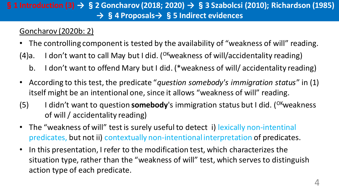### §**1 Introduction (3) →** §**2 Goncharov (2018; 2020) →** §**3 Szabolcsi (2010); Richardson (1985) →** §**4 Proposals→** §**5 Indirect evidences**

### Goncharov (2020b: 2)

- The controlling component is tested by the availability of "weakness of will" reading.
- (4)a. I don't want to call May but I did. (<sup>OK</sup>weakness of will/accidentality reading)
	- b. I don't want to offend Mary but I did. (\*weakness of will/ accidentality reading)
- According to this test, the predicate "*question somebody's immigration status*" in (1) itself might be an intentional one, since it allows "weakness of will" reading.
- (5) I didn't want to question **somebody**'s immigration status but I did. (<sup>OK</sup>weakness of will / accidentality reading)
- The "weakness of will" test is surely useful to detect i) lexically non-intentinal predicates, but not ii) contextually non-intentional interpretation of predicates.
- In this presentation, I refer to the modification test, which characterizes the situation type, rather than the "weakness of will" test, which serves to distinguish action type of each predicate.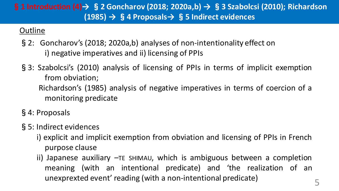## §**1 Introduction (4)→** §**2 Goncharov (2018; 2020a,b) →** §**3 Szabolcsi (2010); Richardson (1985) →** §**4 Proposals→** §**5 Indirect evidences**

### **Outline**

- §2: Goncharov's (2018; 2020a,b) analyses of non-intentionality effect on i) negative imperatives and ii) licensing of PPIs
- §3: Szabolcsi's (2010) analysis of licensing of PPIs in terms of implicit exemption from obviation; Richardson's (1985) analysis of negative imperatives in terms of coercion of a monitoring predicate
- §4: Proposals
- §5: Indirect evidences
	- i) explicit and implicit exemption from obviation and licensing of PPIs in French purpose clause
	- ii) Japanese auxiliary –TE SHIMAU, which is ambiguous between a completion meaning (with an intentional predicate) and 'the realization of an unexprexted event' reading (with <sup>a</sup> non-intentional predicate) 5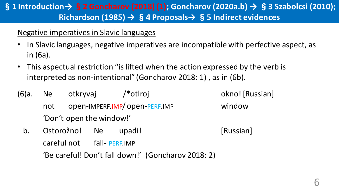## §**1 Introduction→**§**2 Goncharov (2018) (1); Goncharov (2020a.b) →** §**3 Szabolcsi (2010); Richardson (1985) →** §**4 Proposals→** §**5 Indirect evidences**

### Negative imperatives in Slavic languages

- In Slavic languages, negative imperatives are incompatible with perfective aspect, as in (6a).
- This aspectual restriction "is lifted when the action expressed by the verb is interpreted as non-intentional" (Goncharov 2018: 1) , as in (6b).
- (6)a. Ne otkryvaj /\*otlroj okno! [Russian] not open-IMPERF.IMP/ open-PERF.IMP window 'Don't open the window!'
	- b. Ostorožno! Ne upadi! (Russian) careful not fall-PERF.IMP 'Be careful! Don't fall down!' (Goncharov 2018: 2)
-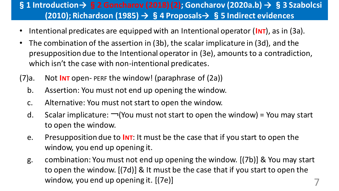## §**1 Introduction→**§**2 Goncharov (2018) (2); Goncharov (2020a.b) →** §**3 Szabolcsi (2010); Richardson (1985) →** §**4 Proposals→** §**5 Indirect evidences**

- Intentional predicates are equipped with an Intentional operator (**INT**), as in (3a).
- The combination of the assertion in (3b), the scalar implicature in (3d), and the presupposition due to the Intentional operator in (3e), amounts to a contradiction, which isn't the case with non-intentional predicates.
- (7)a. Not **INT** open- PERF the window! (paraphrase of (2a))
	- b. Assertion: You must not end up opening the window.
	- c. Alternative: You must not start to open the window.
	- d. Scalar implicature:  $\neg$ (You must not start to open the window) = You may start to open the window.
	- e. Presupposition due to **INT**: It must be the case that if you start to open the window, you end up opening it.
	- g. combination: You must not end up opening the window. [(7b)] & You may start to open the window. [(7d)] & It must be the case that if you start to open the window, you end up opening it.  $[(7e)]$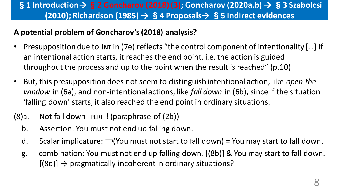## §**1 Introduction→**§**2 Goncharov (2018) (3); Goncharov (2020a.b) →** §**3 Szabolcsi (2010); Richardson (1985) →** §**4 Proposals→** §**5 Indirect evidences**

### **A potential problem of Goncharov's(2018) analysis?**

- Presupposition due to **INT** in (7e) reflects "the control component of intentionality […] if an intentional action starts, it reaches the end point, i.e. the action is guided throughout the process and up to the point when the result is reached" (p.10)
- But, this presupposition does not seem to distinguish intentional action, like *open the window* in (6a), and non-intentional actions, like *fall down* in (6b), since if the situation 'falling down' starts, it also reached the end point in ordinary situations.

## (8)a. Not fall down- PERF ! (paraphrase of (2b))

- b. Assertion: You must not end uo falling down.
- d. Scalar implicature: ¬(You must not start to fall down) = You may start to fall down.
- g. combination: You must not end up falling down. [(8b)] & You may start to fall down.  $[(8d)] \rightarrow$  pragmatically incoherent in ordinary situations?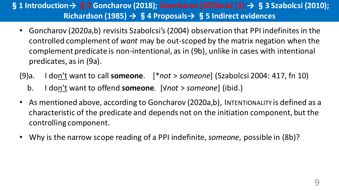## §**1 Introduction→** §**2 Goncharov (2018); Goncharov (2020a.b) (1) →** §**3 Szabolcsi (2010); Richardson (1985) →** §**4 Proposals→** §**5 Indirect evidences**

- Goncharov (2020a,b) revisits Szabolcsi's(2004) observation that PPI indefinites in the controlled complement of *want* may be out-scoped by the matrix negation when the complement predicate is non-intentional, as in (9b), unlike in cases with intentional predicates, as in (9a).
- (9)a. I don't want to call **someone**. [\**not* > *someone*] (Szabolcsi 2004: 417, fn 10)
	- b. I don't want to offend **someone**. [√*not* > *someone*] (ibid.)
- As mentioned above, according to Goncharov (2020a,b), INTENTIONALITY is defined as a characteristic of the predicate and depends not on the initiation component, but the controlling component.
- Why is the narrow scope reading of a PPI indefinite, *someone*, possible in (8b)?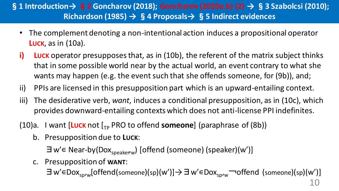## §**1 Introduction→** §**2 Goncharov (2018); Goncharov (2020a.b) (2) →** §**3 Szabolcsi (2010); Richardson (1985) →** §**4 Proposals→** §**5 Indirect evidences**

- The complement denoting a non-intentional action induces a propositional operator **LUCK**, as in (10a).
- **i)** Luck operator presupposes that, as in (10b), the referent of the matrix subject thinks that in some possible world near by the actual world, an event contrary to what she wants may happen (e.g. the event such that she offends someone, for (9b)), and;
- ii) PPIs are licensed in this presupposition part which is an upward-entailing context.
- iii) The desiderative verb, *want*, induces a conditional presupposition, as in (10c), which provides downward-entailing contexts which does not anti-license PPI indefinites.
- (10)a. I want [Luck not  $\left[\begin{matrix}I_{TP} & PRO & \text{to} \end{matrix}\right]$  of  $\left[\begin{matrix}I_{TP} & \text{to} \end{matrix}\right]$  (paraphrase of  $\left(\begin{matrix}8b\end{matrix}\right)$ )
	- b. Presupposition due to **LUCK**:

∃w'∈ Near-by(Dox<sub>speaker</sub><sub>w</sub>) [offend (someone) (speaker)(w')]

c. Presupposition of **WANT**:

∃w'∈Dox<sub>sp</sub>,<sub>w</sub>[offend(someone)(sp)(w')]→∃w'∈Dox<sub>sp</sub>,<sub>w</sub> ¬offend (someone)(sp)(w')]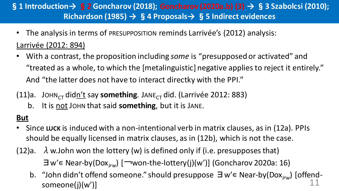## §**1 Introduction→** §**2 Goncharov (2018); Goncharov (2020a.b) (3) →** §**3 Szabolcsi (2010); Richardson (1985) →** §**4 Proposals→** §**5 Indirect evidences**

- The analysis in terms of PRESUPPOSITION reminds Larrivée's (2012) analysis: Larrivée (2012: 894)
- With a contrast, the proposition including *some* is "presupposed or activated" and "treated as a whole, to which the [metalinguistic] negative applies to reject it entirely." And "the latter does not have to interact directky with the PPI."
- (11)a. JOHN<sub>CT</sub> didn't say **something**. JANE<sub>CT</sub> did. (Larrivée 2012: 883)
	- b. It is not JOHN that said **something**, but it is JANE.

## **But**

- Since **LUCK** is induced with a non-intentional verb in matrix clauses, as in (12a). PPIs should be equally licensed in matrix clauses, as in (12b), which is not the case.
- (12)a.  $\lambda$  w.John won the lottery (w) is defined only if (i.e. presupposes that) ∃w'∊ Near-by(Dox<sup>J</sup> ,w) [¬won-the-lottery(j)(w')] (Goncharov 2020a: 16)
	- b. "John didn't offend someone." should presuppose ∃w'∈ Near-by(Dox<sub>J/w</sub>) [offendsomeone(j) $(w')$ ]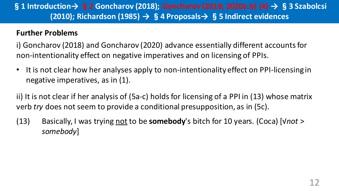## §**1 Introduction→** §**2 Goncharov (2018); Goncharov (2018; 2020a.b) (4) →** §**3 Szabolcsi (2010); Richardson (1985) →** §**4 Proposals→** §**5 Indirect evidences**

#### **Further Problems**

i) Goncharov (2018) and Goncharov (2020) advance essentially different accounts for non-intentionality effect on negative imperatives and on licensing of PPIs.

• It is not clear how her analyses apply to non-intentionality effect on PPI-licensing in negative imperatives, as in (1).

ii) It is not clear if her analysis of (5a-c) holds for licensing of a PPI in (13) whose matrix verb *try* does not seem to provide a conditional presupposition, as in (5c).

(13) Basically, I was trying not to be **somebody**'s bitch for 10 years. (Coca) [√*not* > *somebody*]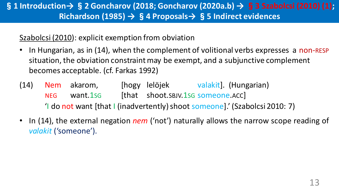## §**1 Introduction→**§**2 Goncharov (2018; Goncharov (2020a.b) →** §**3 Szabolcsi (2010) (1); Richardson (1985) →** §**4 Proposals→** §**5 Indirect evidences**

### Szabolcsi (2010): explicit exemption from obviation

- In Hungarian, as in (14), when the complement of volitional verbs expresses a non-RESP situation, the obviation constraint may be exempt, and a subjunctive complement becomes acceptable. (cf. Farkas 1992)
- (14) Nem akarom, [hogy lelöjek valakit]. (Hungarian) NEG want.1sg [that shoot.SBJV.1sG someone.ACC] 'I do not want [that I (inadvertently) shoot someone].' (Szabolcsi 2010: 7)
- In (14), the external negation *nem* ('not') naturally allows the narrow scope reading of *valakit* ('someone').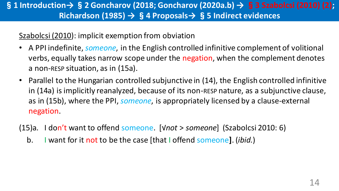## §**1 Introduction→**§**2 Goncharov (2018; Goncharov (2020a.b) →** §**3 Szabolcsi (2010) (2); Richardson (1985) →** §**4 Proposals→** §**5 Indirect evidences**

### Szabolcsi (2010): implicit exemption from obviation

- A PPI indefinite, *someone*, in the English controlled infinitive complement of volitional verbs, equally takes narrow scope under the negation, when the complement denotes a non-RESP situation, as in (15a).
- Parallel to the Hungarian controlled subjunctive in (14), the English controlled infinitive in (14a) is implicitly reanalyzed, because of its non-RESP nature, as a subjunctive clause, as in (15b), where the PPI, *someone*, is appropriately licensed by a clause-external negation.
- (15)a. I don't want to offend someone. [√*not* > *someone*] (Szabolcsi 2010: 6)
	- b. I want for it not to be the case [that I offend someone**]**. (*ibid.*)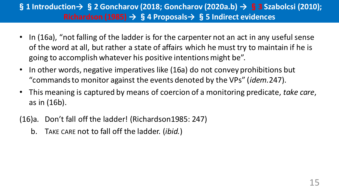## §**1 Introduction→** §**2 Goncharov (2018; Goncharov (2020a.b) →** §**3 Szabolcsi (2010); Richardson (1985) →** §**4 Proposals→** §**5 Indirect evidences**

- In (16a), "not falling of the ladder is for the carpenter not an act in any useful sense of the word at all, but rather a state of affairs which he must try to maintain if he is going to accomplish whatever his positive intentions might be".
- In other words, negative imperatives like (16a) do not convey prohibitions but "commands to monitor against the events denoted by the VPs" (*idem.*247).
- This meaning is captured by means of coercion of a monitoring predicate, *take care*, as in (16b).
- (16)a. Don't fall off the ladder! (Richardson1985: 247)
	- b. TAKE CARE not to fall off the ladder. (*ibid.*)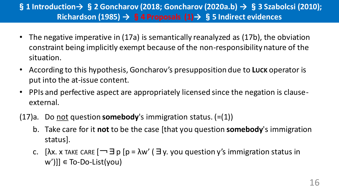## §**1 Introduction→** §**2 Goncharov (2018; Goncharov (2020a.b) →** §**3 Szabolcsi (2010); Richardson (1985) →** §**4 Proposals (1)→** §**5 Indirect evidences**

- The negative imperative in (17a) is semantically reanalyzed as (17b), the obviation constraint being implicitly exempt because of the non-responsibility nature of the situation.
- According to this hypothesis, Goncharov's presupposition due to **LUCK** operator is put into the at-issue content.
- PPIs and perfective aspect are appropriately licensed since the negation is clauseexternal.
- (17)a. Do not question **somebody**'s immigration status. (=(1))
	- b. Take care for it **not** to be the case [that you question **somebody**'s immigration status].
	- c. [ $\lambda$ x. x TAKE CARE  $\Box$   $\exists$  p [ $p = \lambda w'$  ( $\exists$  y. you question y's immigration status in  $[w']$ ]  $\in$  To-Do-List(you)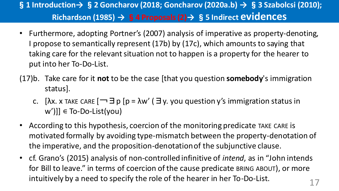# §**1 Introduction→** §**2 Goncharov (2018; Goncharov (2020a.b) →** §**3 Szabolcsi (2010); Richardson (1985) →** §**4 Proposals (2)→** §**5 Indirect evidences**

- Furthermore, adopting Portner's (2007) analysis of imperative as property-denoting, I propose to semantically represent (17b) by (17c), which amounts to saying that taking care for the relevant situation not to happen is a property for the hearer to put into her To-Do-List.
- (17)b. Take care for it **not** to be the case [that you question **somebody**'s immigration status].
	- c. [ $\lambda$ x. x TAKE CARE  $\Box$   $\exists$  p [ $p = \lambda w'$  ( $\exists$  y. you question y's immigration status in  $[w']$ ]  $\in$  To-Do-List(you)
- According to this hypothesis, coercion of the monitoring predicate TAKE CARE is motivated formally by avoiding type-mismatch between the property-denotation of the imperative, and the proposition-denotation of the subjunctive clause.
- cf. Grano's (2015) analysis of non-controlled infinitive of *intend*, as in "John intends for Bill to leave." in terms of coercion of the cause predicate BRING ABOUT), or more intuitively by a need to specify the role of the hearer in her To-Do-List.  $17$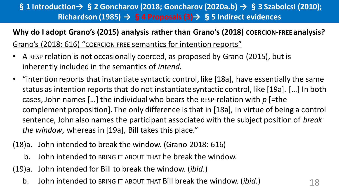## §**1 Introduction→** §**2 Goncharov (2018; Goncharov (2020a.b) →** §**3 Szabolcsi (2010); Richardson (1985) →** §**4 Proposals (3)→** §**5 Indirect evidences**

### **Why do I adopt Grano's (2015) analysis rather than Grano's (2018) COERCION-FREE analysis?**

Grano's (2018: 616) "COERCION FREE semantics for intention reports"

- A RESP relation is not occasionally coerced, as proposed by Grano (2015), but is inherently included in the semantics of *intend*.
- "intention reports that instantiate syntactic control, like [18a], have essentially the same status as intention reports that do not instantiate syntactic control, like [19a]. […] In both cases, John names […] the individual who bears the RESP-relation with *p* [=the complement proposition]. The only difference is that in [18a], in virtue of being a control sentence, John also names the participant associated with the subject position of *break the window*, whereas in [19a], Bill takes this place."
- (18)a. John intended to break the window. (Grano 2018: 616)
	- b. John intended to BRING IT ABOUT THAT he break the window.
- (19)a. John intended for Bill to break the window. (*ibid*.)
	- b. John intended to BRING IT ABOUT THAT Bill break the window. *(ibid.)* 18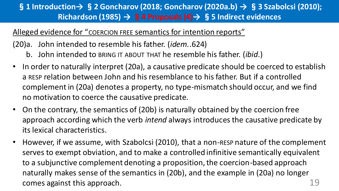## §**1 Introduction→** §**2 Goncharov (2018; Goncharov (2020a.b) →** §**3 Szabolcsi (2010); Richardson (1985) →** §**4 Proposals (4)→** §**5 Indirect evidences**

### Alleged evidence for "COERCION FREE semantics for intention reports"

(20)a. John intended to resemble his father. (*idem.*.624)

- b. John intended to BRING IT ABOUT THAT he resemble his father. (*ibid*.)
- In order to naturally interpret (20a), a causative predicate should be coerced to establish a RESP relation between John and his resemblance to his father. But if a controlled complement in (20a) denotes a property, no type-mismatch should occur, and we find no motivation to coerce the causative predicate.
- On the contrary, the semantics of (20b) is naturally obtained by the coercion free approach according which the verb *intend* always introduces the causative predicate by its lexical characteristics.
- However, if we assume, with Szabolcsi (2010), that a non-RESP nature of the complement serves to exempt obviation, and to make a controlled infinitive semantically equivalent to a subjunctive complement denoting a proposition, the coercion-based approach naturally makes sense of the semantics in (20b), and the example in (20a) no longer comes against this approach. The same state of the set of the set of the set of the set of the set of the set o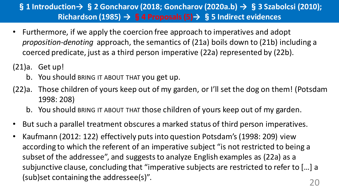## §**1 Introduction→** §**2 Goncharov (2018; Goncharov (2020a.b) →** §**3 Szabolcsi (2010); Richardson (1985) →** §**4 Proposals (5)→** §**5 Indirect evidences**

- Furthermore, if we apply the coercion free approach to imperatives and adopt *proposition-denoting* approach, the semantics of (21a) boils down to (21b) including a coerced predicate, just as a third person imperative (22a) represented by (22b).
- (21)a. Get up!
	- b. You should BRING IT ABOUT THAT you get up.
- (22)a. Those children of yours keep out of my garden, or I'll set the dog on them! (Potsdam 1998: 208)
	- b. You should BRING IT ABOUT THAT those children of yours keep out of my garden.
- But such a parallel treatment obscures a marked status of third person imperatives.
- Kaufmann (2012: 122) effectively puts into question Potsdam's (1998: 209) view according to which the referent of an imperative subject "is not restricted to being a subset of the addressee", and suggests to analyze English examples as (22a) as a subjunctive clause, concluding that "imperative subjects are restricted to refer to […] a (sub)set containing the addressee(s)". The same state of the set of the set of the set of the set of the set of  $20$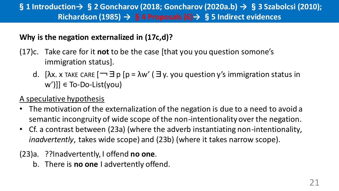## §**1 Introduction→** §**2 Goncharov (2018; Goncharov (2020a.b) →** §**3 Szabolcsi (2010); Richardson (1985) →** §**4 Proposals (6)→** §**5 Indirect evidences**

### **Why is the negation externalized in (17c,d)?**

- (17)c. Take care for it **not** to be the case [that you you question somone's immigration status].
	- d. [ $\lambda$ x. x TAKE CARE  $\Box$   $\exists$  p [ $p = \lambda w'$  ( $\exists$  y. you question y's immigration status in  $w'$ ]]  $\in$  To-Do-List(you)

### A speculative hypothesis

- The motivation of the externalization of the negation is due to a need to avoid a semantic incongruity of wide scope of the non-intentionality over the negation.
- Cf. a contrast between (23a) (where the adverb instantiating non-intentionality*, inadvertently*, takes wide scope) and (23b) (where it takes narrow scope).
- (23)a. ??Inadvertently, I offend **no one**.
	- b. There is **no one** I advertently offend.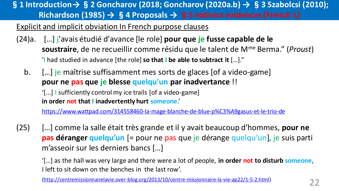§**1 Introduction→**§**2 Goncharov (2018; Goncharov (2020a.b) →** §**3 Szabolcsi (2010); Richardson (1985) →** §**4 Proposals →** §**5 Indirect evidences (French 1)**

### Explicit and implicit obviation In French purpose clauses

- (24)a. […] j'avais étudié d'avance [le role] **pour que je fusse capable de le soustraire**, de ne recueillir comme résidu que le talent de Mme Berma." (*Proust*) 'I had studied in advance [the role] **so that I be able to subtract it** […]."
	- b. […] je maîtrise suffisamment mes sorts de glaces [of a video-game] **pour ne pas que je blesse quelqu'un par inadvertance** !! '[...] I sufficiently control my ice trails [of a video-game] **in order not that I inadvertently hurt someone**.'

<https://www.wattpad.com/314558460-la-mage-blanche-de-blue-p%C3%A9gasus-et-le-trio-de>

(25) […] comme la salle était très grande et il y avait beaucoup d'hommes, **pour ne pas déranger quelqu'un** [= pour ne pas que je dérange quelqu'un]*,* je suis parti m'asseoir sur les derniers bancs […]

'[…] as the hall was very large and there were a lot of people, **in order not to disturb someone**, I left to sit down on the benches in the last row'.

[\(http://centremissionnairelavie.over-blog.org/2013/10/centre-missionnaire-la-vie-ap22/1-5-2.html\)](http://centremissionnairelavie.over-blog.org/2013/10/centre-missionnaire-la-vie-ap22/1-5-2.html)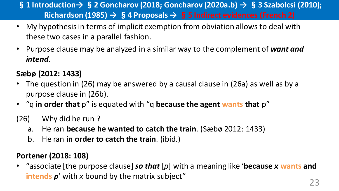§**1 Introduction→** §**2 Goncharov (2018; Goncharov (2020a.b) →** §**3 Szabolcsi (2010); Richardson (1985) →** §**4 Proposals →** §**5 Indirect evidences (French 2)**

- My hypothesis in terms of implicit exemption from obviation allows to deal with these two cases in a parallel fashion.
- Purpose clause may be analyzed in a similar way to the complement of *want and intend*.

## **Sæbø (2012: 1433)**

- The question in (26) may be answered by a causal clause in (26a) as well as by a purpose clause in (26b).
- "q **in order that** p" is equated with "q **because the agent wants that** p"
- (26) Why did he run ?
	- a. He ran **because he wanted to catch the train**. (Sæbø 2012: 1433)
	- b. He ran **in order to catch the train**. (ibid.)

### **Portener (2018: 108)**

• "associate [the purpose clause] *so that* [*p*] with a meaning like '**because** *x* **wants and intends** *p*' with *x* bound by the matrix subject"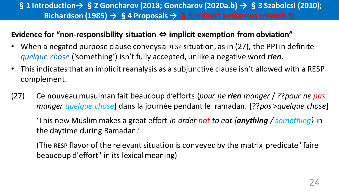### §**1 Introduction→** §**2 Goncharov (2018; Goncharov (2020a.b) →** §**3 Szabolcsi (2010); Richardson (1985) →** §**4 Proposals →** §**5 Indirect evidences (French 3)**

### **Evidence for "non-responsibility situation** ⇔ **implicit exemption from obviation"**

- When a negated purpose clause conveys a RESP situation, as in (27), the PPI in definite *quelque chose* ('something') isn't fully accepted, unlike a negative word *rien*.
- This indicates that an implicit reanalysis as a subjunctive clause isn't allowed with a RESP complement.
- (27) Ce nouveau musulman fait beaucoup d'efforts {*pour ne rien manger* / ??*pour ne pas manger quelque chose*} dans la journée pendant le ramadan. [??*pas* >*quelque chose*]

'This new Muslim makes a great effort *in order not to eat {anything / something}* in the daytime during Ramadan.'

(The RESP flavor of the relevant situation is conveyed by the matrix predicate "faire beaucoup d'effort" in its lexical meaning)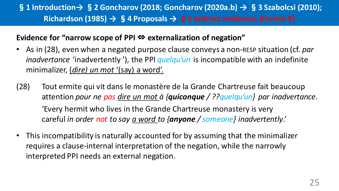## §**1 Introduction→** §**2 Goncharov (2018; Goncharov (2020a.b) →** §**3 Szabolcsi (2010); Richardson (1985) →** §**4 Proposals →** §**5 Indirect evidences (French 4)**

### **Evidence for "narrow scope of PPI** ⇔ **externalization of negation"**

- As in (28), even when a negated purpose clause conveys a non-RESP situation (cf. *par inadvertance* 'inadvertently '), the PPI *quelqu'un* is incompatible with an indefinite minimalizer, (*dire) un mot* '(say) a word'.
- (28) Tout ermite qui vit dans le monastère de la Grande Chartreuse fait beaucoup attention *pour ne pas dire un mot à {quiconque / ??quelqu'un} par inadvertance*. 'Every hermit who lives in the Grande Chartreuse monastery is very careful *in order not to say a word to {anyone / someone} inadvertently*.'
- This incompatibility is naturally accounted for by assuming that the minimalizer requires a clause-internal interpretation of the negation, while the narrowly interpreted PPI needs an external negation.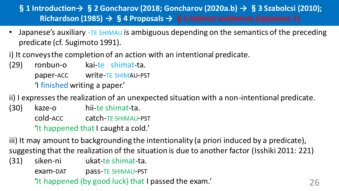## §**1 Introduction→** §**2 Goncharov (2018; Goncharov (2020a.b) →** §**3 Szabolcsi (2010); Richardson (1985) →** §**4 Proposals →** §**5 Indirect evidences (Japanese 1)**

- Japanese's auxiliary -TE SHIMAU is ambiguous depending on the semantics of the preceding predicate (cf. Sugimoto 1991).
- i) It conveys the completion of an action with an intentional predicate.
- (29) ronbun-o kai-te shimat-ta. paper-ACC write-TE SHIMAU-PST 'I finished writing a paper.'

ii) I expresses the realization of an unexpected situation with a non-intentional predicate.

(30) kaze-o hii-te shimat-ta. cold-ACC catch-TE SHIMAU-PST 'It happened that I caught a cold.'

iii) It may amount to backgrounding the intentionality (a priori induced by a predicate), suggesting that the realization of the situation is due to another factor (Isshiki 2011: 221)

(31) siken-ni ukat-te shimat-ta.

exam-DAT pass-TE SHIMAU-PST

'It happened (by good luck) that I passed the exam.' 26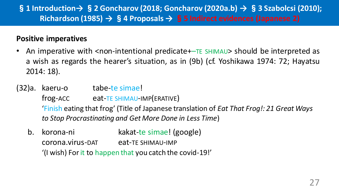## §**1 Introduction→** §**2 Goncharov (2018; Goncharov (2020a.b) →** §**3 Szabolcsi (2010); Richardson (1985) →** §**4 Proposals →** §**5 Indirect evidences (Japanese 2)**

#### **Positive imperatives**

- An imperative with <non-intentional predicate+–TE SHIMAU> should be interpreted as a wish as regards the hearer's situation, as in (9b) (cf. Yoshikawa 1974: 72; Hayatsu 2014: 18).
- (32)a. kaeru-o tabe-te simae! frog-ACC eat-TE SHIMAU-IMP(ERATIVE) 'Finish eating that frog' (Title of Japanese translation of *Eat That Frog!: 21 Great Ways to Stop Procrastinating and Get More Done in Less Time*)
	- b. korona-ni kakat-te simae! (google) corona.virus-DAT eat-TE SHIMAU-IMP '(I wish) Forit to happen that you catch the covid-19!'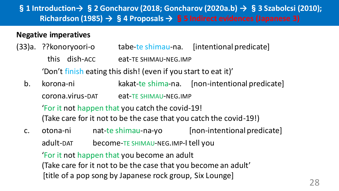## §**1 Introduction→** §**2 Goncharov (2018; Goncharov (2020a.b) →** §**3 Szabolcsi (2010); Richardson (1985) →** §**4 Proposals →** §**5 Indirect evidences (Japanese 3)**

### **Negative imperatives**

- (33)a. ??konoryoori-o tabe-te shimau-na. [intentional predicate] this dish-ACC eat-TE SHIMAU-NEG.IMP 'Don't finish eating this dish! (even if you start to eat it)'
	- b. korona-ni kakat-te shima-na. [non-intentional predicate] corona.virus-DAT eat-TE SHIMAU-NEG.IMP 'For it not happen that you catch the covid-19! (Take care for it not to be the case that you catch the covid-19!)
	- c. otona-ni nat-te shimau-na-yo [non-intentional predicate] adult-DAT become-TE SHIMAU-NEG.IMP-I tell you 'For it not happen that you become an adult (Take care for it not to be the case that you become an adult' [title of a pop song by Japanese rock group, Six Lounge]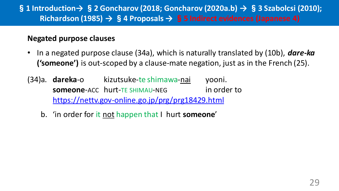### §**1 Introduction→** §**2 Goncharov (2018; Goncharov (2020a.b) →** §**3 Szabolcsi (2010); Richardson (1985) →** §**4 Proposals →** §**5 Indirect evidences (Japanese 4)**

#### **Negated purpose clauses**

- In a negated purpose clause (34a), which is naturally translated by (10b), *dare-ka* **('someone')** is out-scoped by a clause-mate negation, just as in the French (25).
- (34)a. **dareka**-o kizutsuke-te shimawa-nai yooni. **someone**-ACC hurt-TE SHIMAU-NEG in order to <https://nettv.gov-online.go.jp/prg/prg18429.html>
	- b. 'in order for it not happen that I hurt **someone**'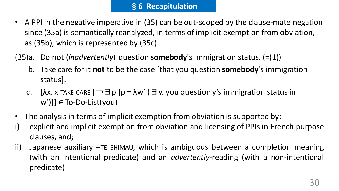- A PPI in the negative imperative in (35) can be out-scoped by the clause-mate negation since (35a) is semantically reanalyzed, in terms of implicit exemption from obviation, as (35b), which is represented by (35c).
- (35)a. Do not (*inadvertently*) question **somebody**'s immigration status. (=(1))
	- b. Take care for it **not** to be the case [that you question **somebody**'s immigration status].
	- c. [λx. x TAKE CARE  $\Box$   $\exists$  p [p =  $\lambda w'$  ( $\exists$  y. you question y's immigration status in  $[w']$ ]  $\in$  To-Do-List(you)
- The analysis in terms of implicit exemption from obviation is supported by:
- i) explicit and implicit exemption from obviation and licensing of PPIs in French purpose clauses, and;
- ii) Japanese auxiliary –TE SHIMAU, which is ambiguous between a completion meaning (with an intentional predicate) and an *advertently-*reading (with a non-intentional predicate)